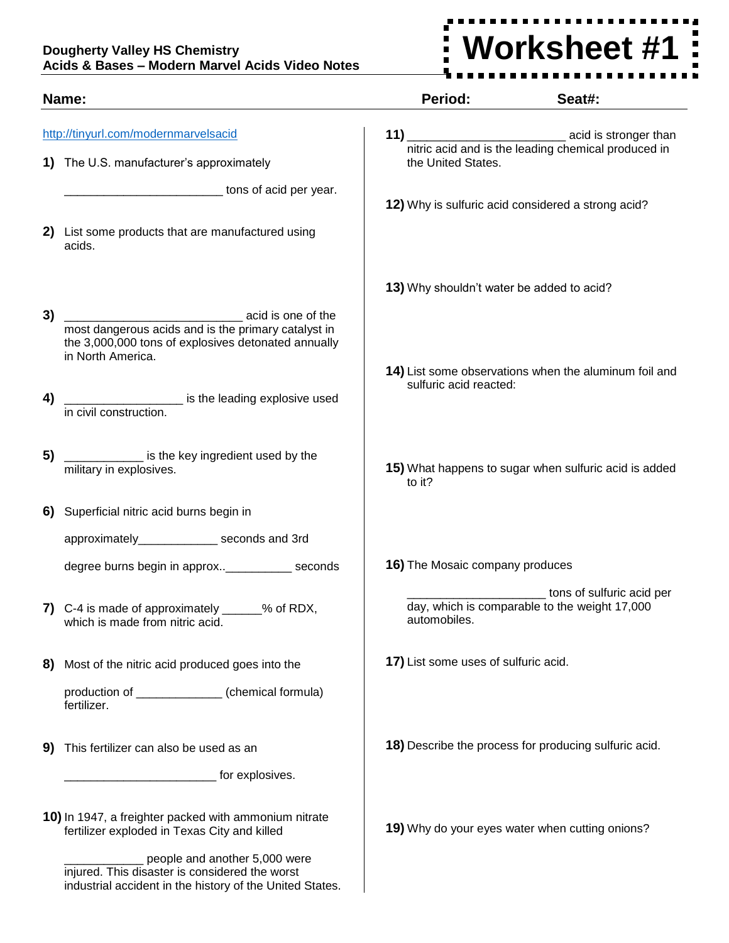## **Dougherty Valley HS Chemistry Acids & Bases – Modern Marvel Acids Video Notes**

industrial accident in the history of the United States.



| Name:                                                                            |                                                                                                                                                       | Period:                                   | Seat#:                                                                                 |
|----------------------------------------------------------------------------------|-------------------------------------------------------------------------------------------------------------------------------------------------------|-------------------------------------------|----------------------------------------------------------------------------------------|
| http://tinyurl.com/modernmarvelsacid<br>1) The U.S. manufacturer's approximately |                                                                                                                                                       | the United States.                        |                                                                                        |
|                                                                                  | tons of acid per year.<br>2) List some products that are manufactured using                                                                           |                                           | 12) Why is sulfuric acid considered a strong acid?                                     |
|                                                                                  | acids.                                                                                                                                                | 13) Why shouldn't water be added to acid? |                                                                                        |
| 3)                                                                               | acid is one of the<br>most dangerous acids and is the primary catalyst in<br>the 3,000,000 tons of explosives detonated annually<br>in North America. |                                           | 14) List some observations when the aluminum foil and                                  |
| 4)                                                                               | is the leading explosive used<br>in civil construction.                                                                                               | sulfuric acid reacted:                    |                                                                                        |
| 5)                                                                               | is the key ingredient used by the<br>military in explosives.                                                                                          | to it?                                    | 15) What happens to sugar when sulfuric acid is added                                  |
| 6)                                                                               | Superficial nitric acid burns begin in                                                                                                                |                                           |                                                                                        |
|                                                                                  | approximately______________ seconds and 3rd                                                                                                           |                                           |                                                                                        |
|                                                                                  | degree burns begin in approx______________ seconds                                                                                                    | 16) The Mosaic company produces           |                                                                                        |
|                                                                                  | C-4 is made of approximately ______% of RDX,<br>which is made from nitric acid.                                                                       | automobiles.                              | ___________ tons of sulfuric acid per<br>day, which is comparable to the weight 17,000 |
| 8)                                                                               | Most of the nitric acid produced goes into the                                                                                                        | 17) List some uses of sulfuric acid.      |                                                                                        |
|                                                                                  | production of ______________ (chemical formula)<br>fertilizer.                                                                                        |                                           |                                                                                        |
| 9)                                                                               | This fertilizer can also be used as an                                                                                                                |                                           | 18) Describe the process for producing sulfuric acid.                                  |
|                                                                                  | for explosives.                                                                                                                                       |                                           |                                                                                        |
|                                                                                  | 10) In 1947, a freighter packed with ammonium nitrate<br>fertilizer exploded in Texas City and killed                                                 |                                           | 19) Why do your eyes water when cutting onions?                                        |
|                                                                                  | people and another 5,000 were<br>injured. This disaster is considered the worst                                                                       |                                           |                                                                                        |